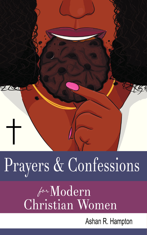

# Prayers & Confessions

# Edition de Vomen

Ashan R. Hampton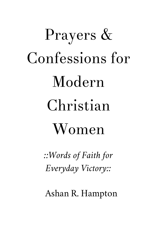## Prayers & Confessions for Modern Christian Women

*::Words of Faith for Everyday Victory::*

Ashan R. Hampton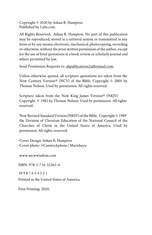Copyright © 2020 by Ashan R. Hampton. Published by Lulu.com.

All Rights Reserved, Ashan R. Hampton. No part of this publication may be reproduced, stored in a retrieval system or transmitted in any form or by any means, electronic, mechanical, photocopying, recording or otherwise, without the prior written permission of the author, except for the use of brief quotations in a book review or scholarly journal and where permitted by law.

Send Permission Requests to: ahpublications2@hotmail.com.

Unless otherwise quoted, all scripture quotations are taken from the New Century Version® (NCV) of the Bible. Copyright © 2005 by Thomas Nelson. Used by permission. All rights reserved.

Scripture taken from the New King James Version® (NKJV) Copyright © 1982 by Thomas Nelson. Used by permission. All rights reserved.

New Revised Standard Version (NRSV) of the Bible. Copyright © 1989 the Division of Christian Education of the National Council of the Churches of Christ in the United States of America. Used by permission. All rights reserved.

Cover Design: Ashan R. Hampton Cover photo: ©Canstockphoto | Marishayu

www.mcwwisdom.com

ISBN: 978-1-716-32361-4

10 9 8 7 6 5 4 3 2 1

Printed in the United States of America.

First Printing: 2020.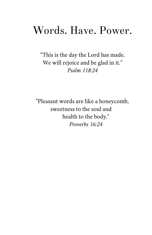#### Words. Have. Power.

"This is the day the Lord has made. We will rejoice and be glad in it." *Psalm 118:24* 

"Pleasant words are like a honeycomb, sweetness to the soul and health to the body." *Proverbs 16:24*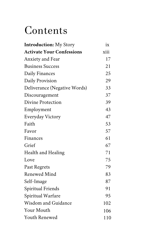#### Contents

| <b>Introduction:</b> My Story    | ix   |
|----------------------------------|------|
| <b>Activate Your Confessions</b> | xiii |
| <b>Anxiety and Fear</b>          | 17   |
| <b>Business Success</b>          | 21   |
| Daily Finances                   | 25   |
| Daily Provision                  | 29   |
| Deliverance (Negative Words)     | 33   |
| Discouragement                   | 37   |
| Divine Protection                | 39   |
| Employment                       | 43   |
| Everyday Victory                 | 47   |
| Faith                            | 53   |
| Favor                            | 57   |
| Finances                         | 61   |
| Grief                            | 67   |
| <b>Health and Healing</b>        | 71   |
| Love                             | 75   |
| Past Regrets                     | 79   |
| <b>Renewed Mind</b>              | 83   |
| Self-Image                       | 87   |
| <b>Spiritual Friends</b>         | 91   |
| Spiritual Warfare                | 95   |
| <b>Wisdom and Guidance</b>       | 102  |
| <b>Your Mouth</b>                | 106  |
| <b>Youth Renewed</b>             | 110  |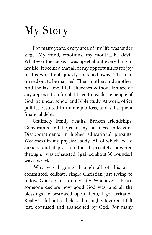### My Story

For many years, every area of my life was under siege. My mind, emotions, my mouth...the devil. Whatever the cause, I was upset about everything in my life. It seemed that all of my opportunities for joy in this world got quickly snatched away. The man turned out to be married. Then another, and another. And the last one. I left churches without fanfare or any appreciation for all I tried to teach the people of God in Sunday school and Bible study. At work, office politics resulted in unfair job loss, and subsequent financial debt.

Untimely family deaths. Broken friendships. Constraints and flops in my business endeavors. Disappointments in higher educational pursuits. Weakness in my physical body. All of which led to anxiety and depression that I privately powered through. I was exhausted. I gained about 30 pounds. I was a wreck.

 Why was I going through all of this as a committed, celibate, single Christian just trying to follow God's plans for my life? Whenever I heard someone declare how good God was, and all the blessings he bestowed upon them, I got irritated. Really? I did not feel blessed or highly favored. I felt lost, confused and abandoned by God. For many

*ix*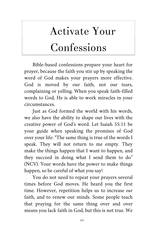## Activate Your Confessions

Bible-based confessions prepare your heart for prayer, because the faith you stir up by speaking the word of God makes your prayers more effective. God is moved by our faith, not our tears, complaining or yelling. When you speak faith-filled words to God, He is able to work miracles in your circumstances.

Just as God formed the world with his words, we also have the ability to shape our lives with the creative power of God's word. Let Isaiah 55:11 be your guide when speaking the promises of God over your life: "The same thing is true of the words I speak. They will not return to me empty. They make the things happen that I want to happen, and they succeed in doing what I send them to do" (NCV). Your words have the power to make things happen, so be careful of what you say!

You do not need to repeat your prayers several times before God moves. He heard you the first time. However, repetition helps us to increase *our* faith, and to renew our minds. Some people teach that praying for the same thing over and over means you lack faith in God, but this is not true. We